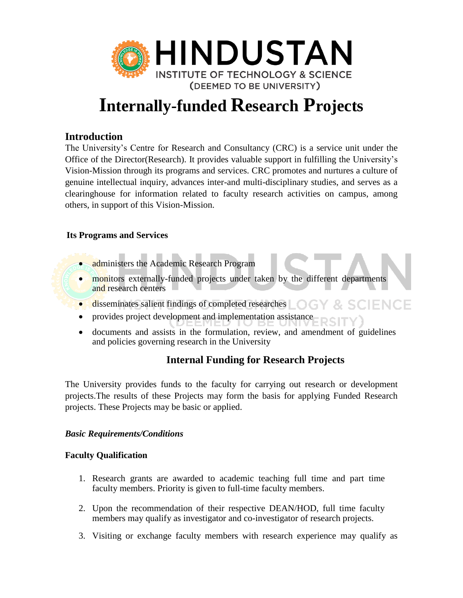

# **Internally-funded Research Projects**

## **Introduction**

The University's Centre for Research and Consultancy (CRC) is a service unit under the Office of the Director(Research). It provides valuable support in fulfilling the University's Vision-Mission through its programs and services. CRC promotes and nurtures a culture of genuine intellectual inquiry, advances inter-and multi-disciplinary studies, and serves as a clearinghouse for information related to faculty research activities on campus, among others, in support of this Vision-Mission.

## **Its Programs and Services**

- administers the Academic Research Program
- monitors externally-funded projects under taken by the different departments and research centers
- **disseminates salient findings of completed researches** IENCE
- provides project development and implementation assistance
- documents and assists in the formulation, review, and amendment of guidelines and policies governing research in the University

## **Internal Funding for Research Projects**

The University provides funds to the faculty for carrying out research or development projects.The results of these Projects may form the basis for applying Funded Research projects. These Projects may be basic or applied.

## *Basic Requirements/Conditions*

## **Faculty Qualification**

- 1. Research grants are awarded to academic teaching full time and part time faculty members. Priority is given to full-time faculty members.
- 2. Upon the recommendation of their respective DEAN/HOD, full time faculty members may qualify as investigator and co-investigator of research projects.
- 3. Visiting or exchange faculty members with research experience may qualify as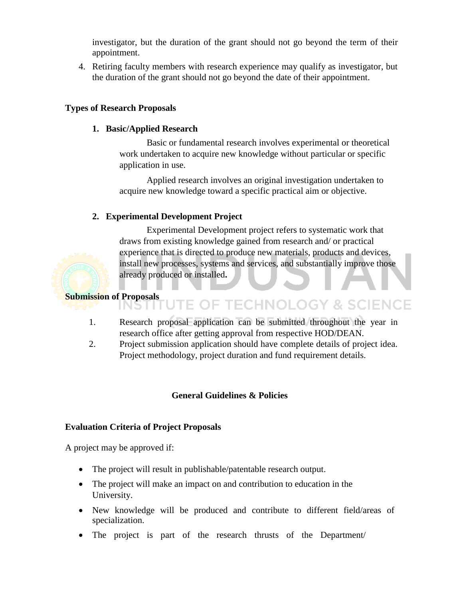investigator, but the duration of the grant should not go beyond the term of their appointment.

4. Retiring faculty members with research experience may qualify as investigator, but the duration of the grant should not go beyond the date of their appointment.

## **Types of Research Proposals**

## **1. Basic/Applied Research**

Basic or fundamental research involves experimental or theoretical work undertaken to acquire new knowledge without particular or specific application in use.

Applied research involves an original investigation undertaken to acquire new knowledge toward a specific practical aim or objective.

## **2. Experimental Development Project**

Experimental Development project refers to systematic work that draws from existing knowledge gained from research and/ or practical experience that is directed to produce new materials, products and devices, install new processes, systems and services, and substantially improve those already produced or installed**.**

## **Submission of Proposals**

- **E OF TECHNOLOGY & SCIENCE** IN 5 LE
	- 1. Research proposal application can be submitted throughout the year in research office after getting approval from respective HOD/DEAN.
- 2. Project submission application should have complete details of project idea. Project methodology, project duration and fund requirement details.

## **General Guidelines & Policies**

## **Evaluation Criteria of Project Proposals**

A project may be approved if:

- The project will result in publishable/patentable research output.
- The project will make an impact on and contribution to education in the University.
- New knowledge will be produced and contribute to different field/areas of specialization.
- The project is part of the research thrusts of the Department/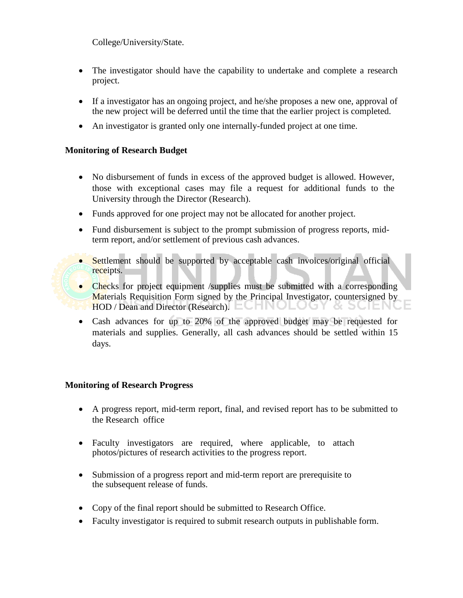College/University/State.

- The investigator should have the capability to undertake and complete a research project.
- If a investigator has an ongoing project, and he/she proposes a new one, approval of the new project will be deferred until the time that the earlier project is completed.
- An investigator is granted only one internally-funded project at one time.

## **Monitoring of Research Budget**

- No disbursement of funds in excess of the approved budget is allowed. However, those with exceptional cases may file a request for additional funds to the University through the Director (Research).
- Funds approved for one project may not be allocated for another project.
- Fund disbursement is subject to the prompt submission of progress reports, midterm report, and/or settlement of previous cash advances.
- Settlement should be supported by acceptable cash invoices/original official receipts.
- Checks for project equipment /supplies must be submitted with a corresponding Materials Requisition Form signed by the Principal Investigator, countersigned by HOD / Dean and Director (Research).
- Cash advances for up to 20% of the approved budget may be requested for materials and supplies. Generally, all cash advances should be settled within 15 days.

## **Monitoring of Research Progress**

- A progress report, mid-term report, final, and revised report has to be submitted to the Research office
- Faculty investigators are required, where applicable, to attach photos/pictures of research activities to the progress report.
- Submission of a progress report and mid-term report are prerequisite to the subsequent release of funds.
- Copy of the final report should be submitted to Research Office.
- Faculty investigator is required to submit research outputs in publishable form.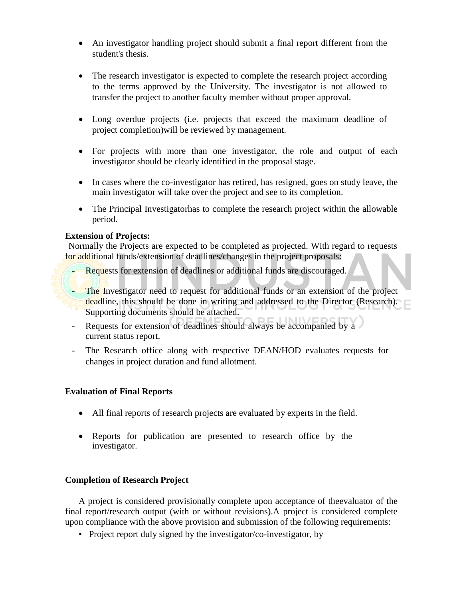- An investigator handling project should submit a final report different from the student's thesis.
- The research investigator is expected to complete the research project according to the terms approved by the University. The investigator is not allowed to transfer the project to another faculty member without proper approval.
- Long overdue projects (i.e. projects that exceed the maximum deadline of project completion)will be reviewed by management.
- For projects with more than one investigator, the role and output of each investigator should be clearly identified in the proposal stage.
- In cases where the co-investigator has retired, has resigned, goes on study leave, the main investigator will take over the project and see to its completion.
- The Principal Investigatorhas to complete the research project within the allowable period.

## **Extension of Projects:**

Normally the Projects are expected to be completed as projected. With regard to requests for additional funds/extension of deadlines/changes in the project proposals:

- Requests for extension of deadlines or additional funds are discouraged.
- The Investigator need to request for additional funds or an extension of the project deadline, this should be done in writing and addressed to the Director (Research). Supporting documents should be attached.
- Requests for extension of deadlines should always be accompanied by a current status report.
- The Research office along with respective DEAN/HOD evaluates requests for changes in project duration and fund allotment.

#### **Evaluation of Final Reports**

- All final reports of research projects are evaluated by experts in the field.
- Reports for publication are presented to research office by the investigator.

## **Completion of Research Project**

A project is considered provisionally complete upon acceptance of theevaluator of the final report/research output (with or without revisions).A project is considered complete upon compliance with the above provision and submission of the following requirements:

• Project report duly signed by the investigator/co-investigator, by